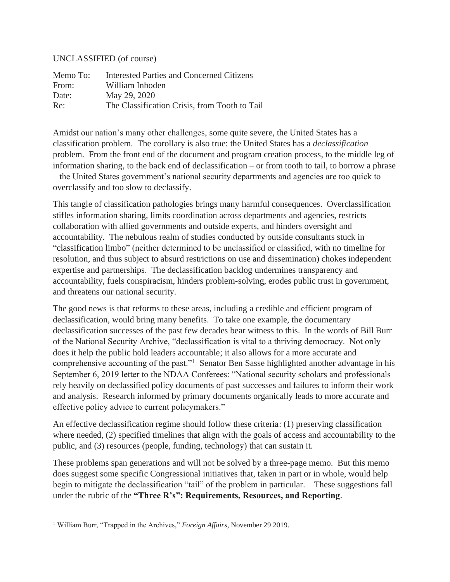## UNCLASSIFIED (of course)

| Memo To: | <b>Interested Parties and Concerned Citizens</b> |
|----------|--------------------------------------------------|
| From:    | William Inboden                                  |
| Date:    | May 29, 2020                                     |
| Re:      | The Classification Crisis, from Tooth to Tail    |

Amidst our nation's many other challenges, some quite severe, the United States has a classification problem. The corollary is also true: the United States has a *declassification* problem. From the front end of the document and program creation process, to the middle leg of information sharing, to the back end of declassification – or from tooth to tail, to borrow a phrase – the United States government's national security departments and agencies are too quick to overclassify and too slow to declassify.

This tangle of classification pathologies brings many harmful consequences. Overclassification stifles information sharing, limits coordination across departments and agencies, restricts collaboration with allied governments and outside experts, and hinders oversight and accountability. The nebulous realm of studies conducted by outside consultants stuck in "classification limbo" (neither determined to be unclassified or classified, with no timeline for resolution, and thus subject to absurd restrictions on use and dissemination) chokes independent expertise and partnerships. The declassification backlog undermines transparency and accountability, fuels conspiracism, hinders problem-solving, erodes public trust in government, and threatens our national security.

The good news is that reforms to these areas, including a credible and efficient program of declassification, would bring many benefits. To take one example, the documentary declassification successes of the past few decades bear witness to this. In the words of Bill Burr of the National Security Archive, "declassification is vital to a thriving democracy. Not only does it help the public hold leaders accountable; it also allows for a more accurate and comprehensive accounting of the past."<sup>1</sup> Senator Ben Sasse highlighted another advantage in his September 6, 2019 letter to the NDAA Conferees: "National security scholars and professionals rely heavily on declassified policy documents of past successes and failures to inform their work and analysis. Research informed by primary documents organically leads to more accurate and effective policy advice to current policymakers."

An effective declassification regime should follow these criteria: (1) preserving classification where needed, (2) specified timelines that align with the goals of access and accountability to the public, and (3) resources (people, funding, technology) that can sustain it.

These problems span generations and will not be solved by a three-page memo. But this memo does suggest some specific Congressional initiatives that, taken in part or in whole, would help begin to mitigate the declassification "tail" of the problem in particular. These suggestions fall under the rubric of the **"Three R's": Requirements, Resources, and Reporting**.

<sup>1</sup> William Burr, "Trapped in the Archives," *Foreign Affairs*, November 29 2019.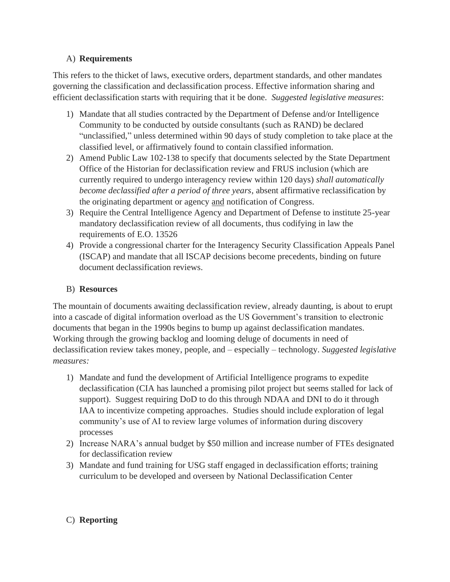## A) **Requirements**

This refers to the thicket of laws, executive orders, department standards, and other mandates governing the classification and declassification process. Effective information sharing and efficient declassification starts with requiring that it be done. *Suggested legislative measures*:

- 1) Mandate that all studies contracted by the Department of Defense and/or Intelligence Community to be conducted by outside consultants (such as RAND) be declared "unclassified," unless determined within 90 days of study completion to take place at the classified level, or affirmatively found to contain classified information.
- 2) Amend Public Law 102-138 to specify that documents selected by the State Department Office of the Historian for declassification review and FRUS inclusion (which are currently required to undergo interagency review within 120 days) *shall automatically become declassified after a period of three years*, absent affirmative reclassification by the originating department or agency and notification of Congress.
- 3) Require the Central Intelligence Agency and Department of Defense to institute 25-year mandatory declassification review of all documents, thus codifying in law the requirements of E.O. 13526
- 4) Provide a congressional charter for the Interagency Security Classification Appeals Panel (ISCAP) and mandate that all ISCAP decisions become precedents, binding on future document declassification reviews.

## B) **Resources**

The mountain of documents awaiting declassification review, already daunting, is about to erupt into a cascade of digital information overload as the US Government's transition to electronic documents that began in the 1990s begins to bump up against declassification mandates. Working through the growing backlog and looming deluge of documents in need of declassification review takes money, people, and – especially – technology. *Suggested legislative measures:*

- 1) Mandate and fund the development of Artificial Intelligence programs to expedite declassification (CIA has launched a promising pilot project but seems stalled for lack of support). Suggest requiring DoD to do this through NDAA and DNI to do it through IAA to incentivize competing approaches. Studies should include exploration of legal community's use of AI to review large volumes of information during discovery processes
- 2) Increase NARA's annual budget by \$50 million and increase number of FTEs designated for declassification review
- 3) Mandate and fund training for USG staff engaged in declassification efforts; training curriculum to be developed and overseen by National Declassification Center

## C) **Reporting**